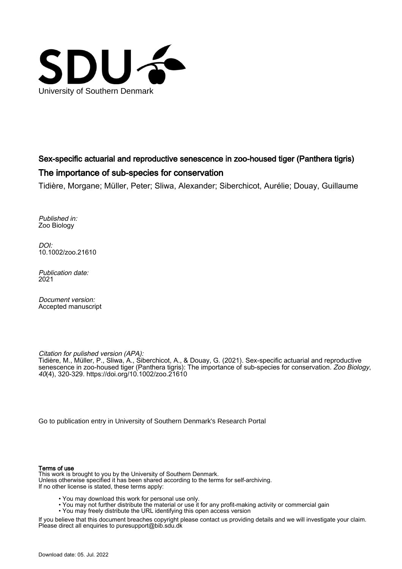

# Sex-specific actuarial and reproductive senescence in zoo-housed tiger (Panthera tigris) The importance of sub-species for conservation

Tidière, Morgane; Müller, Peter; Sliwa, Alexander; Siberchicot, Aurélie; Douay, Guillaume

Published in: Zoo Biology

DOI: [10.1002/zoo.21610](https://doi.org/10.1002/zoo.21610)

Publication date: 2021

Document version: Accepted manuscript

Citation for pulished version (APA):

Tidière, M., Müller, P., Sliwa, A., Siberchicot, A., & Douay, G. (2021). Sex-specific actuarial and reproductive senescence in zoo-housed tiger (Panthera tigris): The importance of sub-species for conservation. *Zoo Biology*, 40(4), 320-329.<https://doi.org/10.1002/zoo.21610>

[Go to publication entry in University of Southern Denmark's Research Portal](https://portal.findresearcher.sdu.dk/en/publications/36a2a0dc-1a08-4296-b0a5-950b04ee162b)

#### Terms of use

This work is brought to you by the University of Southern Denmark. Unless otherwise specified it has been shared according to the terms for self-archiving. If no other license is stated, these terms apply:

- You may download this work for personal use only.
- You may not further distribute the material or use it for any profit-making activity or commercial gain
- You may freely distribute the URL identifying this open access version

If you believe that this document breaches copyright please contact us providing details and we will investigate your claim. Please direct all enquiries to puresupport@bib.sdu.dk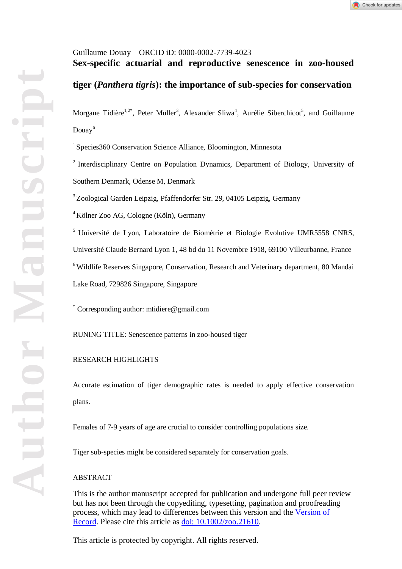# **tiger (***Panthera tigris***): the importance of sub-species for conservation**

Morgane Tidière<sup>1,2\*</sup>, Peter Müller<sup>3</sup>, Alexander Sliwa<sup>4</sup>, Aurélie Siberchicot<sup>5</sup>, and Guillaume Douay<sup>6</sup>

<sup>1</sup> Species360 Conservation Science Alliance, Bloomington, Minnesota

<sup>2</sup> Interdisciplinary Centre on Population Dynamics, Department of Biology, University of Southern Denmark, Odense M, Denmark

<sup>3</sup>Zoological Garden Leipzig, Pfaffendorfer Str. 29, 04105 Leipzig, Germany

4 Kölner Zoo AG, Cologne (Köln), Germany

<sup>5</sup> Université de Lyon, Laboratoire de Biométrie et Biologie Evolutive UMR5558 CNRS, Université Claude Bernard Lyon 1, 48 bd du 11 Novembre 1918, 69100 Villeurbanne, France <sup>6</sup> Wildlife Reserves Singapore, Conservation, Research and Veterinary department, 80 Mandai Lake Road, 729826 Singapore, Singapore

\* Corresponding author: mtidiere@gmail.com

RUNING TITLE: Senescence patterns in zoo-housed tiger

# RESEARCH HIGHLIGHTS

Accurate estimation of tiger demographic rates is needed to apply effective conservation plans.

Females of 7-9 years of age are crucial to consider controlling populations size.

Tiger sub-species might be considered separately for conservation goals.

# ABSTRACT

This is the author manuscript accepted for publication and undergone full peer review but has not been through the copyediting, typesetting, pagination and proofreading process, which may lead to differences between this version and the [Version of](https://doi.org/10.1002/zoo.21610)  [Record.](https://doi.org/10.1002/zoo.21610) Please cite this article as [doi: 10.1002/zoo.21610.](https://doi.org/10.1002/zoo.21610)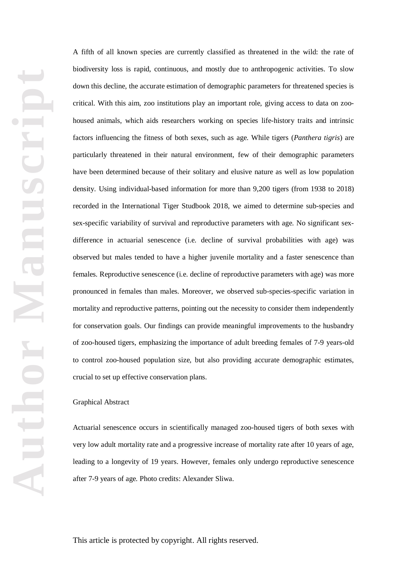A fifth of all known species are currently classified as threatened in the wild: the rate of biodiversity loss is rapid, continuous, and mostly due to anthropogenic activities. To slow down this decline, the accurate estimation of demographic parameters for threatened species is critical. With this aim, zoo institutions play an important role, giving access to data on zoohoused animals, which aids researchers working on species life-history traits and intrinsic factors influencing the fitness of both sexes, such as age. While tigers (*Panthera tigris*) are particularly threatened in their natural environment, few of their demographic parameters have been determined because of their solitary and elusive nature as well as low population density. Using individual-based information for more than 9,200 tigers (from 1938 to 2018) recorded in the International Tiger Studbook 2018, we aimed to determine sub-species and sex-specific variability of survival and reproductive parameters with age. No significant sexdifference in actuarial senescence (i.e. decline of survival probabilities with age) was observed but males tended to have a higher juvenile mortality and a faster senescence than females. Reproductive senescence (i.e. decline of reproductive parameters with age) was more pronounced in females than males. Moreover, we observed sub-species-specific variation in mortality and reproductive patterns, pointing out the necessity to consider them independently for conservation goals. Our findings can provide meaningful improvements to the husbandry of zoo-housed tigers, emphasizing the importance of adult breeding females of 7-9 years-old to control zoo-housed population size, but also providing accurate demographic estimates, crucial to set up effective conservation plans.

### Graphical Abstract

Actuarial senescence occurs in scientifically managed zoo-housed tigers of both sexes with very low adult mortality rate and a progressive increase of mortality rate after 10 years of age, leading to a longevity of 19 years. However, females only undergo reproductive senescence after 7-9 years of age. Photo credits: Alexander Sliwa.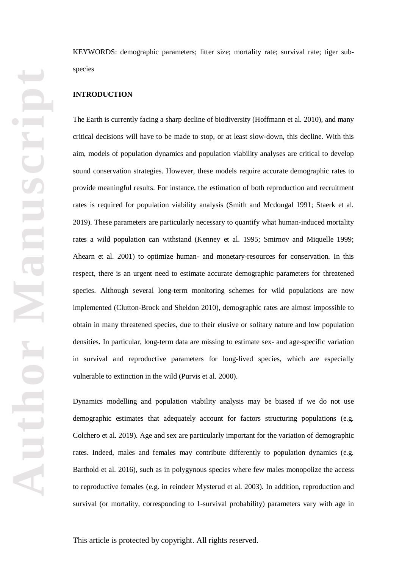KEYWORDS: demographic parameters; litter size; mortality rate; survival rate; tiger subspecies

# **INTRODUCTION**

The Earth is currently facing a sharp decline of biodiversity (Hoffmann et al. 2010), and many critical decisions will have to be made to stop, or at least slow-down, this decline. With this aim, models of population dynamics and population viability analyses are critical to develop sound conservation strategies. However, these models require accurate demographic rates to provide meaningful results. For instance, the estimation of both reproduction and recruitment rates is required for population viability analysis (Smith and Mcdougal 1991; Staerk et al. 2019). These parameters are particularly necessary to quantify what human-induced mortality rates a wild population can withstand (Kenney et al. 1995; Smirnov and Miquelle 1999; Ahearn et al. 2001) to optimize human- and monetary-resources for conservation. In this respect, there is an urgent need to estimate accurate demographic parameters for threatened species. Although several long-term monitoring schemes for wild populations are now implemented (Clutton-Brock and Sheldon 2010), demographic rates are almost impossible to obtain in many threatened species, due to their elusive or solitary nature and low population densities. In particular, long-term data are missing to estimate sex- and age-specific variation in survival and reproductive parameters for long-lived species, which are especially vulnerable to extinction in the wild (Purvis et al. 2000).

Dynamics modelling and population viability analysis may be biased if we do not use demographic estimates that adequately account for factors structuring populations (e.g. Colchero et al. 2019). Age and sex are particularly important for the variation of demographic rates. Indeed, males and females may contribute differently to population dynamics (e.g. Barthold et al. 2016), such as in polygynous species where few males monopolize the access to reproductive females (e.g. in reindeer Mysterud et al. 2003). In addition, reproduction and survival (or mortality, corresponding to 1-survival probability) parameters vary with age in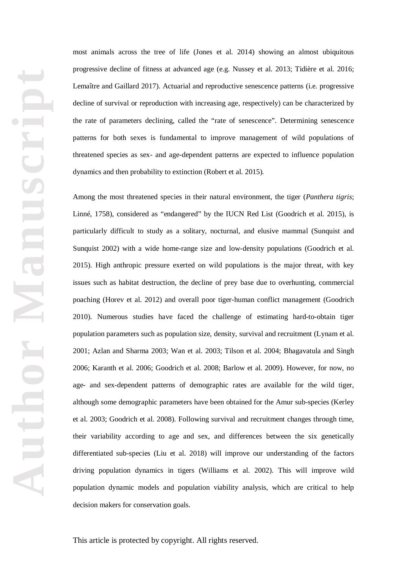most animals across the tree of life (Jones et al. 2014) showing an almost ubiquitous progressive decline of fitness at advanced age (e.g. Nussey et al. 2013; Tidière et al. 2016; Lemaître and Gaillard 2017). Actuarial and reproductive senescence patterns (i.e. progressive decline of survival or reproduction with increasing age, respectively) can be characterized by the rate of parameters declining, called the "rate of senescence". Determining senescence patterns for both sexes is fundamental to improve management of wild populations of threatened species as sex- and age-dependent patterns are expected to influence population dynamics and then probability to extinction (Robert et al. 2015).

Among the most threatened species in their natural environment, the tiger (*Panthera tigris*; Linné, 1758), considered as "endangered" by the IUCN Red List (Goodrich et al. 2015), is particularly difficult to study as a solitary, nocturnal, and elusive mammal (Sunquist and Sunquist 2002) with a wide home-range size and low-density populations (Goodrich et al. 2015). High anthropic pressure exerted on wild populations is the major threat, with key issues such as habitat destruction, the decline of prey base due to overhunting, commercial poaching (Horev et al. 2012) and overall poor tiger-human conflict management (Goodrich 2010). Numerous studies have faced the challenge of estimating hard-to-obtain tiger population parameters such as population size, density, survival and recruitment (Lynam et al. 2001; Azlan and Sharma 2003; Wan et al. 2003; Tilson et al. 2004; Bhagavatula and Singh 2006; Karanth et al. 2006; Goodrich et al. 2008; Barlow et al. 2009). However, for now, no age- and sex-dependent patterns of demographic rates are available for the wild tiger, although some demographic parameters have been obtained for the Amur sub-species (Kerley et al. 2003; Goodrich et al. 2008). Following survival and recruitment changes through time, their variability according to age and sex, and differences between the six genetically differentiated sub-species (Liu et al. 2018) will improve our understanding of the factors driving population dynamics in tigers (Williams et al. 2002). This will improve wild population dynamic models and population viability analysis, which are critical to help decision makers for conservation goals.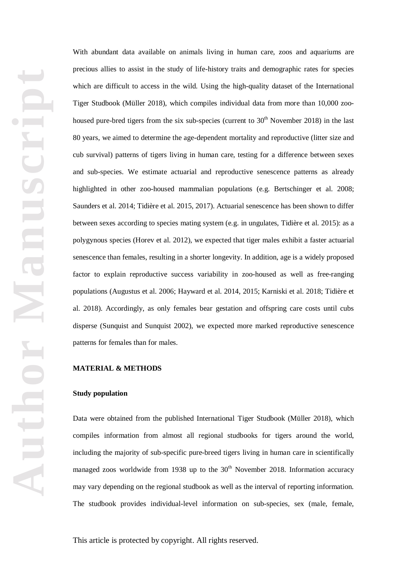With abundant data available on animals living in human care, zoos and aquariums are precious allies to assist in the study of life-history traits and demographic rates for species which are difficult to access in the wild. Using the high-quality dataset of the International Tiger Studbook (Müller 2018), which compiles individual data from more than 10,000 zoohoused pure-bred tigers from the six sub-species (current to  $30<sup>th</sup>$  November 2018) in the last 80 years, we aimed to determine the age-dependent mortality and reproductive (litter size and cub survival) patterns of tigers living in human care, testing for a difference between sexes and sub-species. We estimate actuarial and reproductive senescence patterns as already highlighted in other zoo-housed mammalian populations (e.g. Bertschinger et al. 2008; Saunders et al. 2014; Tidière et al. 2015, 2017). Actuarial senescence has been shown to differ between sexes according to species mating system (e.g. in ungulates, Tidière et al. 2015): as a polygynous species (Horev et al. 2012), we expected that tiger males exhibit a faster actuarial senescence than females, resulting in a shorter longevity. In addition, age is a widely proposed factor to explain reproductive success variability in zoo-housed as well as free-ranging populations (Augustus et al. 2006; Hayward et al. 2014, 2015; Karniski et al. 2018; Tidière et al. 2018). Accordingly, as only females bear gestation and offspring care costs until cubs disperse (Sunquist and Sunquist 2002), we expected more marked reproductive senescence patterns for females than for males.

## **MATERIAL & METHODS**

#### **Study population**

Data were obtained from the published International Tiger Studbook (Müller 2018), which compiles information from almost all regional studbooks for tigers around the world, including the majority of sub-specific pure-breed tigers living in human care in scientifically managed zoos worldwide from 1938 up to the  $30<sup>th</sup>$  November 2018. Information accuracy may vary depending on the regional studbook as well as the interval of reporting information. The studbook provides individual-level information on sub-species, sex (male, female,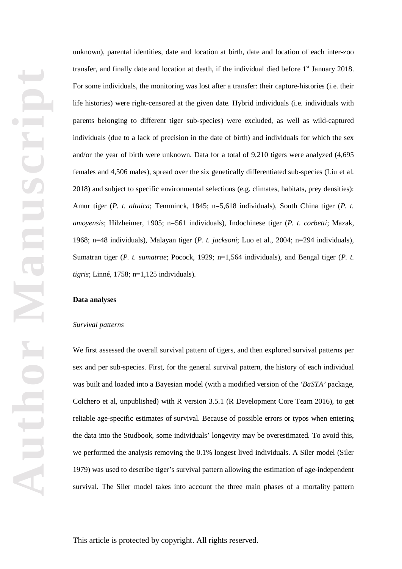unknown), parental identities, date and location at birth, date and location of each inter-zoo transfer, and finally date and location at death, if the individual died before 1<sup>st</sup> January 2018. For some individuals, the monitoring was lost after a transfer: their capture-histories (i.e. their life histories) were right-censored at the given date. Hybrid individuals (i.e. individuals with parents belonging to different tiger sub-species) were excluded, as well as wild-captured individuals (due to a lack of precision in the date of birth) and individuals for which the sex and/or the year of birth were unknown. Data for a total of 9,210 tigers were analyzed (4,695 females and 4,506 males), spread over the six genetically differentiated sub-species (Liu et al. 2018) and subject to specific environmental selections (e.g. climates, habitats, prey densities): Amur tiger (*P. t. altaica*; Temminck, 1845; n=5,618 individuals), South China tiger (*P. t. amoyensis*; Hilzheimer, 1905; n=561 individuals), Indochinese tiger (*P. t. corbetti*; Mazak, 1968; n=48 individuals), Malayan tiger (*P. t. jacksoni*; Luo et al., 2004; n=294 individuals), Sumatran tiger (*P. t. sumatrae*; Pocock, 1929; n=1,564 individuals), and Bengal tiger (*P. t. tigris*; Linné, 1758; n=1,125 individuals).

#### **Data analyses**

#### *Survival patterns*

We first assessed the overall survival pattern of tigers, and then explored survival patterns per sex and per sub-species. First, for the general survival pattern, the history of each individual was built and loaded into a Bayesian model (with a modified version of the *'BaSTA'* package, Colchero et al, unpublished) with R version 3.5.1 (R Development Core Team 2016), to get reliable age-specific estimates of survival. Because of possible errors or typos when entering the data into the Studbook, some individuals' longevity may be overestimated. To avoid this, we performed the analysis removing the 0.1% longest lived individuals. A Siler model (Siler 1979) was used to describe tiger's survival pattern allowing the estimation of age-independent survival. The Siler model takes into account the three main phases of a mortality pattern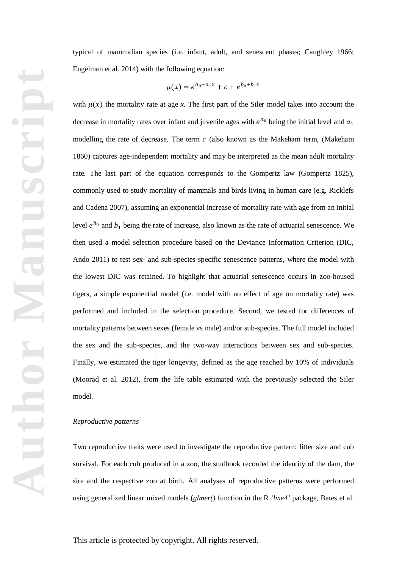typical of mammalian species (i.e. infant, adult, and senescent phases; Caughley 1966; Engelman et al. 2014) with the following equation:

$$
\mu(x) = e^{a_0 - a_1 x} + c + e^{b_0 + b_1 x}
$$

with  $\mu(x)$  the mortality rate at age *x*. The first part of the Siler model takes into account the decrease in mortality rates over infant and juvenile ages with  $e^{a_0}$  being the initial level and  $a_1$ modelling the rate of decrease. The term  $c$  (also known as the Makeham term, (Makeham 1860) captures age-independent mortality and may be interpreted as the mean adult mortality rate. The last part of the equation corresponds to the Gompertz law (Gompertz 1825), commonly used to study mortality of mammals and birds living in human care (e.g. Ricklefs and Cadena 2007), assuming an exponential increase of mortality rate with age from an initial level  $e^{b_0}$  and  $b_1$  being the rate of increase, also known as the rate of actuarial senescence. We then used a model selection procedure based on the Deviance Information Criterion (DIC, Ando 2011) to test sex- and sub-species-specific senescence patterns, where the model with the lowest DIC was retained. To highlight that actuarial senescence occurs in zoo-housed tigers, a simple exponential model (i.e. model with no effect of age on mortality rate) was performed and included in the selection procedure. Second, we tested for differences of mortality patterns between sexes (female vs male) and/or sub-species. The full model included the sex and the sub-species, and the two-way interactions between sex and sub-species. Finally, we estimated the tiger longevity, defined as the age reached by 10% of individuals (Moorad et al. 2012), from the life table estimated with the previously selected the Siler model.

# *Reproductive patterns*

Two reproductive traits were used to investigate the reproductive pattern: litter size and cub survival. For each cub produced in a zoo, the studbook recorded the identity of the dam, the sire and the respective zoo at birth. All analyses of reproductive patterns were performed using generalized linear mixed models (*glmer()* function in the R *'lme4'* package, Bates et al.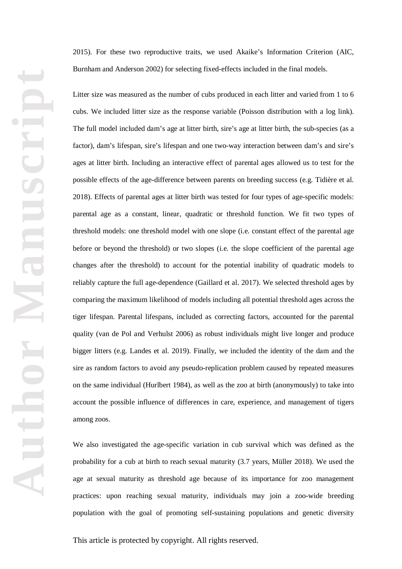2015). For these two reproductive traits, we used Akaike's Information Criterion (AIC, Burnham and Anderson 2002) for selecting fixed-effects included in the final models.

Litter size was measured as the number of cubs produced in each litter and varied from 1 to 6 cubs. We included litter size as the response variable (Poisson distribution with a log link). The full model included dam's age at litter birth, sire's age at litter birth, the sub-species (as a factor), dam's lifespan, sire's lifespan and one two-way interaction between dam's and sire's ages at litter birth. Including an interactive effect of parental ages allowed us to test for the possible effects of the age-difference between parents on breeding success (e.g. Tidière et al. 2018). Effects of parental ages at litter birth was tested for four types of age-specific models: parental age as a constant, linear, quadratic or threshold function. We fit two types of threshold models: one threshold model with one slope (i.e. constant effect of the parental age before or beyond the threshold) or two slopes (i.e. the slope coefficient of the parental age changes after the threshold) to account for the potential inability of quadratic models to reliably capture the full age-dependence (Gaillard et al. 2017). We selected threshold ages by comparing the maximum likelihood of models including all potential threshold ages across the tiger lifespan. Parental lifespans, included as correcting factors, accounted for the parental quality (van de Pol and Verhulst 2006) as robust individuals might live longer and produce bigger litters (e.g. Landes et al. 2019). Finally, we included the identity of the dam and the sire as random factors to avoid any pseudo-replication problem caused by repeated measures on the same individual (Hurlbert 1984), as well as the zoo at birth (anonymously) to take into account the possible influence of differences in care, experience, and management of tigers among zoos.

We also investigated the age-specific variation in cub survival which was defined as the probability for a cub at birth to reach sexual maturity (3.7 years, Müller 2018). We used the age at sexual maturity as threshold age because of its importance for zoo management practices: upon reaching sexual maturity, individuals may join a zoo-wide breeding population with the goal of promoting self-sustaining populations and genetic diversity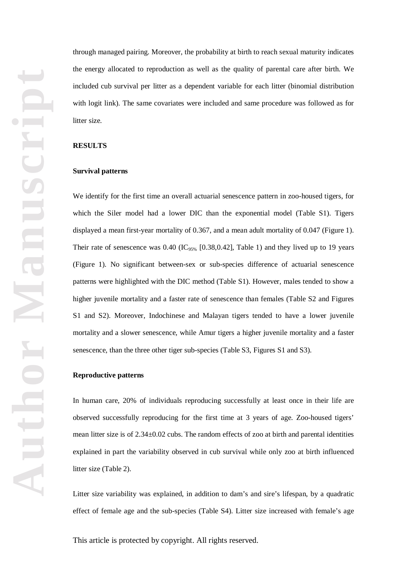through managed pairing. Moreover, the probability at birth to reach sexual maturity indicates the energy allocated to reproduction as well as the quality of parental care after birth. We included cub survival per litter as a dependent variable for each litter (binomial distribution with logit link). The same covariates were included and same procedure was followed as for litter size.

# **RESULTS**

## **Survival patterns**

We identify for the first time an overall actuarial senescence pattern in zoo-housed tigers, for which the Siler model had a lower DIC than the exponential model (Table S1). Tigers displayed a mean first-year mortality of 0.367, and a mean adult mortality of 0.047 (Figure 1). Their rate of senescence was  $0.40$  (IC<sub>95%</sub> [0.38,0.42], Table 1) and they lived up to 19 years (Figure 1). No significant between-sex or sub-species difference of actuarial senescence patterns were highlighted with the DIC method (Table S1). However, males tended to show a higher juvenile mortality and a faster rate of senescence than females (Table S2 and Figures S1 and S2). Moreover, Indochinese and Malayan tigers tended to have a lower juvenile mortality and a slower senescence, while Amur tigers a higher juvenile mortality and a faster senescence, than the three other tiger sub-species (Table S3, Figures S1 and S3).

#### **Reproductive patterns**

In human care, 20% of individuals reproducing successfully at least once in their life are observed successfully reproducing for the first time at 3 years of age. Zoo-housed tigers' mean litter size is of  $2.34\pm0.02$  cubs. The random effects of zoo at birth and parental identities explained in part the variability observed in cub survival while only zoo at birth influenced litter size (Table 2).

Litter size variability was explained, in addition to dam's and sire's lifespan, by a quadratic effect of female age and the sub-species (Table S4). Litter size increased with female's age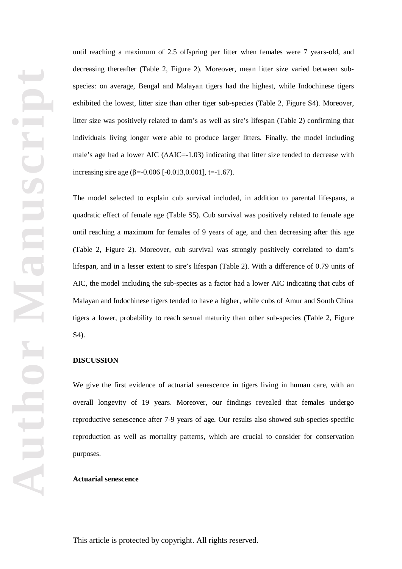until reaching a maximum of 2.5 offspring per litter when females were 7 years-old, and decreasing thereafter (Table 2, Figure 2). Moreover, mean litter size varied between subspecies: on average, Bengal and Malayan tigers had the highest, while Indochinese tigers exhibited the lowest, litter size than other tiger sub-species (Table 2, Figure S4). Moreover, litter size was positively related to dam's as well as sire's lifespan (Table 2) confirming that individuals living longer were able to produce larger litters. Finally, the model including male's age had a lower AIC  $(AAIC=1.03)$  indicating that litter size tended to decrease with increasing sire age (β=-0.006 [-0.013,0.001], t=-1.67).

The model selected to explain cub survival included, in addition to parental lifespans, a quadratic effect of female age (Table S5). Cub survival was positively related to female age until reaching a maximum for females of 9 years of age, and then decreasing after this age (Table 2, Figure 2). Moreover, cub survival was strongly positively correlated to dam's lifespan, and in a lesser extent to sire's lifespan (Table 2). With a difference of 0.79 units of AIC, the model including the sub-species as a factor had a lower AIC indicating that cubs of Malayan and Indochinese tigers tended to have a higher, while cubs of Amur and South China tigers a lower, probability to reach sexual maturity than other sub-species (Table 2, Figure S4).

## **DISCUSSION**

We give the first evidence of actuarial senescence in tigers living in human care, with an overall longevity of 19 years. Moreover, our findings revealed that females undergo reproductive senescence after 7-9 years of age. Our results also showed sub-species-specific reproduction as well as mortality patterns, which are crucial to consider for conservation purposes.

#### **Actuarial senescence**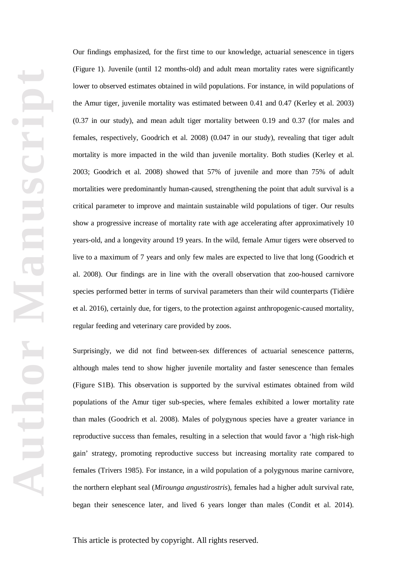Our findings emphasized, for the first time to our knowledge, actuarial senescence in tigers (Figure 1). Juvenile (until 12 months-old) and adult mean mortality rates were significantly lower to observed estimates obtained in wild populations. For instance, in wild populations of the Amur tiger, juvenile mortality was estimated between 0.41 and 0.47 (Kerley et al. 2003) (0.37 in our study), and mean adult tiger mortality between 0.19 and 0.37 (for males and females, respectively, Goodrich et al. 2008) (0.047 in our study), revealing that tiger adult mortality is more impacted in the wild than juvenile mortality. Both studies (Kerley et al. 2003; Goodrich et al. 2008) showed that 57% of juvenile and more than 75% of adult mortalities were predominantly human-caused, strengthening the point that adult survival is a critical parameter to improve and maintain sustainable wild populations of tiger. Our results show a progressive increase of mortality rate with age accelerating after approximatively 10 years-old, and a longevity around 19 years. In the wild, female Amur tigers were observed to live to a maximum of 7 years and only few males are expected to live that long (Goodrich et al. 2008). Our findings are in line with the overall observation that zoo-housed carnivore species performed better in terms of survival parameters than their wild counterparts (Tidière et al. 2016), certainly due, for tigers, to the protection against anthropogenic-caused mortality, regular feeding and veterinary care provided by zoos.

Surprisingly, we did not find between-sex differences of actuarial senescence patterns, although males tend to show higher juvenile mortality and faster senescence than females (Figure S1B). This observation is supported by the survival estimates obtained from wild populations of the Amur tiger sub-species, where females exhibited a lower mortality rate than males (Goodrich et al. 2008). Males of polygynous species have a greater variance in reproductive success than females, resulting in a selection that would favor a 'high risk-high gain' strategy, promoting reproductive success but increasing mortality rate compared to females (Trivers 1985). For instance, in a wild population of a polygynous marine carnivore, the northern elephant seal (*Mirounga angustirostris*), females had a higher adult survival rate, began their senescence later, and lived 6 years longer than males (Condit et al. 2014).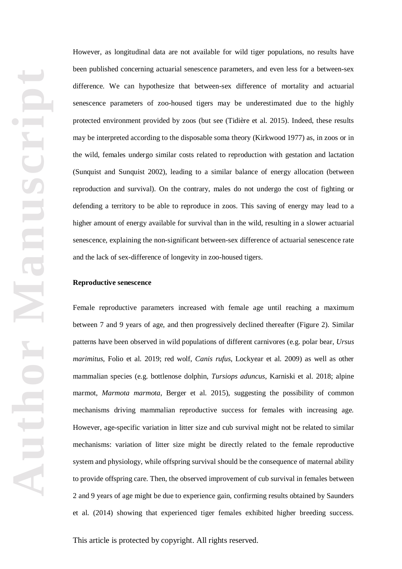However, as longitudinal data are not available for wild tiger populations, no results have been published concerning actuarial senescence parameters, and even less for a between-sex difference. We can hypothesize that between-sex difference of mortality and actuarial senescence parameters of zoo-housed tigers may be underestimated due to the highly protected environment provided by zoos (but see (Tidière et al. 2015). Indeed, these results may be interpreted according to the disposable soma theory (Kirkwood 1977) as, in zoos or in the wild, females undergo similar costs related to reproduction with gestation and lactation (Sunquist and Sunquist 2002), leading to a similar balance of energy allocation (between reproduction and survival). On the contrary, males do not undergo the cost of fighting or defending a territory to be able to reproduce in zoos. This saving of energy may lead to a higher amount of energy available for survival than in the wild, resulting in a slower actuarial senescence, explaining the non-significant between-sex difference of actuarial senescence rate and the lack of sex-difference of longevity in zoo-housed tigers.

#### **Reproductive senescence**

Female reproductive parameters increased with female age until reaching a maximum between 7 and 9 years of age, and then progressively declined thereafter (Figure 2). Similar patterns have been observed in wild populations of different carnivores (e.g. polar bear, *Ursus marimitus*, Folio et al. 2019; red wolf, *Canis rufus*, Lockyear et al. 2009) as well as other mammalian species (e.g. bottlenose dolphin, *Tursiops aduncus*, Karniski et al. 2018; alpine marmot, *Marmota marmota*, Berger et al. 2015), suggesting the possibility of common mechanisms driving mammalian reproductive success for females with increasing age. However, age-specific variation in litter size and cub survival might not be related to similar mechanisms: variation of litter size might be directly related to the female reproductive system and physiology, while offspring survival should be the consequence of maternal ability to provide offspring care. Then, the observed improvement of cub survival in females between 2 and 9 years of age might be due to experience gain, confirming results obtained by Saunders et al. (2014) showing that experienced tiger females exhibited higher breeding success.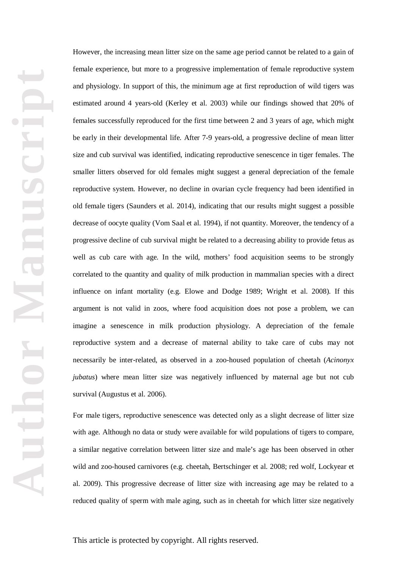However, the increasing mean litter size on the same age period cannot be related to a gain of female experience, but more to a progressive implementation of female reproductive system and physiology. In support of this, the minimum age at first reproduction of wild tigers was estimated around 4 years-old (Kerley et al. 2003) while our findings showed that 20% of females successfully reproduced for the first time between 2 and 3 years of age, which might be early in their developmental life. After 7-9 years-old, a progressive decline of mean litter size and cub survival was identified, indicating reproductive senescence in tiger females. The smaller litters observed for old females might suggest a general depreciation of the female reproductive system. However, no decline in ovarian cycle frequency had been identified in old female tigers (Saunders et al. 2014), indicating that our results might suggest a possible decrease of oocyte quality (Vom Saal et al. 1994), if not quantity. Moreover, the tendency of a progressive decline of cub survival might be related to a decreasing ability to provide fetus as well as cub care with age. In the wild, mothers' food acquisition seems to be strongly correlated to the quantity and quality of milk production in mammalian species with a direct influence on infant mortality (e.g. Elowe and Dodge 1989; Wright et al. 2008). If this argument is not valid in zoos, where food acquisition does not pose a problem, we can imagine a senescence in milk production physiology. A depreciation of the female reproductive system and a decrease of maternal ability to take care of cubs may not necessarily be inter-related, as observed in a zoo-housed population of cheetah (*Acinonyx jubatus*) where mean litter size was negatively influenced by maternal age but not cub survival (Augustus et al. 2006).

For male tigers, reproductive senescence was detected only as a slight decrease of litter size with age. Although no data or study were available for wild populations of tigers to compare, a similar negative correlation between litter size and male's age has been observed in other wild and zoo-housed carnivores (e.g. cheetah, Bertschinger et al. 2008; red wolf, Lockyear et al. 2009). This progressive decrease of litter size with increasing age may be related to a reduced quality of sperm with male aging, such as in cheetah for which litter size negatively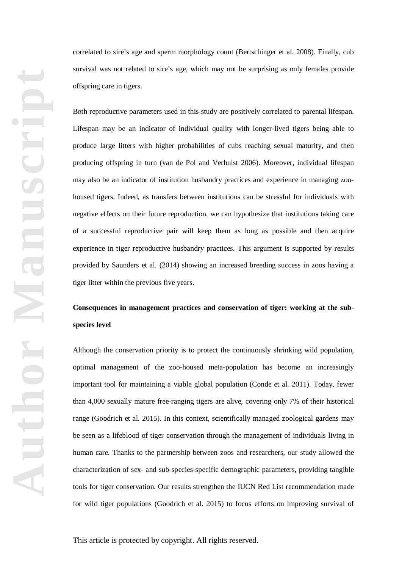correlated to sire's age and sperm morphology count (Bertschinger et al. 2008). Finally, cub survival was not related to sire's age, which may not be surprising as only females provide offspring care in tigers.

Both reproductive parameters used in this study are positively correlated to parental lifespan. Lifespan may be an indicator of individual quality with longer-lived tigers being able to produce large litters with higher probabilities of cubs reaching sexual maturity, and then producing offspring in turn (van de Pol and Verhulst 2006). Moreover, individual lifespan may also be an indicator of institution husbandry practices and experience in managing zoohoused tigers. Indeed, as transfers between institutions can be stressful for individuals with negative effects on their future reproduction, we can hypothesize that institutions taking care of a successful reproductive pair will keep them as long as possible and then acquire experience in tiger reproductive husbandry practices. This argument is supported by results provided by Saunders et al. (2014) showing an increased breeding success in zoos having a tiger litter within the previous five years.

# **Consequences in management practices and conservation of tiger: working at the subspecies level**

Although the conservation priority is to protect the continuously shrinking wild population, optimal management of the zoo-housed meta-population has become an increasingly important tool for maintaining a viable global population (Conde et al. 2011). Today, fewer than 4,000 sexually mature free-ranging tigers are alive, covering only 7% of their historical range (Goodrich et al. 2015). In this context, scientifically managed zoological gardens may be seen as a lifeblood of tiger conservation through the management of individuals living in human care. Thanks to the partnership between zoos and researchers, our study allowed the characterization of sex- and sub-species-specific demographic parameters, providing tangible tools for tiger conservation. Our results strengthen the IUCN Red List recommendation made for wild tiger populations (Goodrich et al. 2015) to focus efforts on improving survival of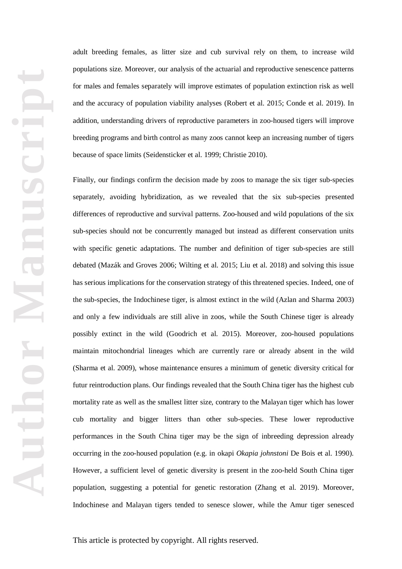adult breeding females, as litter size and cub survival rely on them, to increase wild populations size. Moreover, our analysis of the actuarial and reproductive senescence patterns for males and females separately will improve estimates of population extinction risk as well and the accuracy of population viability analyses (Robert et al. 2015; Conde et al. 2019). In addition, understanding drivers of reproductive parameters in zoo-housed tigers will improve breeding programs and birth control as many zoos cannot keep an increasing number of tigers because of space limits (Seidensticker et al. 1999; Christie 2010).

Finally, our findings confirm the decision made by zoos to manage the six tiger sub-species separately, avoiding hybridization, as we revealed that the six sub-species presented differences of reproductive and survival patterns. Zoo-housed and wild populations of the six sub-species should not be concurrently managed but instead as different conservation units with specific genetic adaptations. The number and definition of tiger sub-species are still debated (Mazák and Groves 2006; Wilting et al. 2015; Liu et al. 2018) and solving this issue has serious implications for the conservation strategy of this threatened species. Indeed, one of the sub-species, the Indochinese tiger, is almost extinct in the wild (Azlan and Sharma 2003) and only a few individuals are still alive in zoos, while the South Chinese tiger is already possibly extinct in the wild (Goodrich et al. 2015). Moreover, zoo-housed populations maintain mitochondrial lineages which are currently rare or already absent in the wild (Sharma et al. 2009), whose maintenance ensures a minimum of genetic diversity critical for futur reintroduction plans. Our findings revealed that the South China tiger has the highest cub mortality rate as well as the smallest litter size, contrary to the Malayan tiger which has lower cub mortality and bigger litters than other sub-species. These lower reproductive performances in the South China tiger may be the sign of inbreeding depression already occurring in the zoo-housed population (e.g. in okapi *Okapia johnstoni* De Bois et al. 1990). However, a sufficient level of genetic diversity is present in the zoo-held South China tiger population, suggesting a potential for genetic restoration (Zhang et al. 2019). Moreover, Indochinese and Malayan tigers tended to senesce slower, while the Amur tiger senesced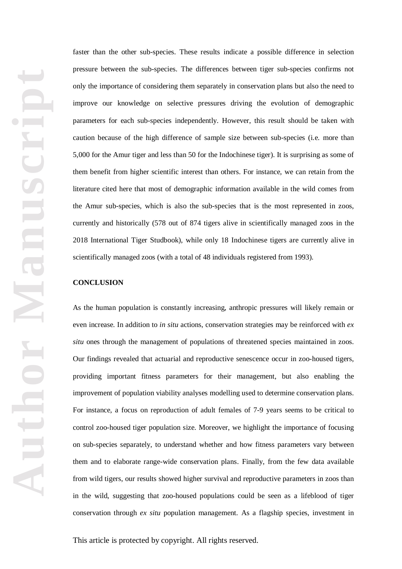faster than the other sub-species. These results indicate a possible difference in selection pressure between the sub-species. The differences between tiger sub-species confirms not only the importance of considering them separately in conservation plans but also the need to improve our knowledge on selective pressures driving the evolution of demographic parameters for each sub-species independently. However, this result should be taken with caution because of the high difference of sample size between sub-species (i.e. more than 5,000 for the Amur tiger and less than 50 for the Indochinese tiger). It is surprising as some of them benefit from higher scientific interest than others. For instance, we can retain from the literature cited here that most of demographic information available in the wild comes from the Amur sub-species, which is also the sub-species that is the most represented in zoos, currently and historically (578 out of 874 tigers alive in scientifically managed zoos in the 2018 International Tiger Studbook), while only 18 Indochinese tigers are currently alive in scientifically managed zoos (with a total of 48 individuals registered from 1993).

#### **CONCLUSION**

As the human population is constantly increasing, anthropic pressures will likely remain or even increase. In addition to *in situ* actions, conservation strategies may be reinforced with *ex situ* ones through the management of populations of threatened species maintained in zoos. Our findings revealed that actuarial and reproductive senescence occur in zoo-housed tigers, providing important fitness parameters for their management, but also enabling the improvement of population viability analyses modelling used to determine conservation plans. For instance, a focus on reproduction of adult females of 7-9 years seems to be critical to control zoo-housed tiger population size. Moreover, we highlight the importance of focusing on sub-species separately, to understand whether and how fitness parameters vary between them and to elaborate range-wide conservation plans. Finally, from the few data available from wild tigers, our results showed higher survival and reproductive parameters in zoos than in the wild, suggesting that zoo-housed populations could be seen as a lifeblood of tiger conservation through *ex situ* population management. As a flagship species, investment in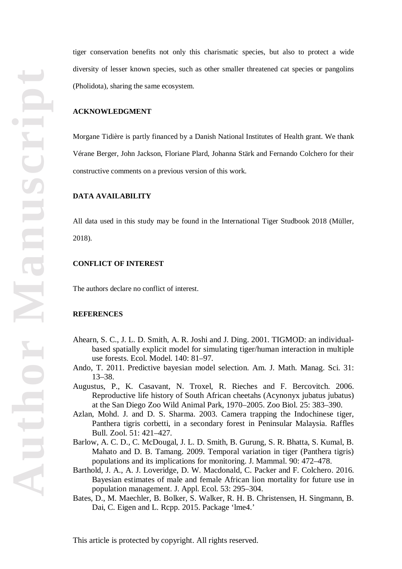tiger conservation benefits not only this charismatic species, but also to protect a wide diversity of lesser known species, such as other smaller threatened cat species or pangolins (Pholidota), sharing the same ecosystem.

### **ACKNOWLEDGMENT**

Morgane Tidière is partly financed by a Danish National Institutes of Health grant. We thank Vérane Berger, John Jackson, Floriane Plard, Johanna Stärk and Fernando Colchero for their constructive comments on a previous version of this work.

## **DATA AVAILABILITY**

All data used in this study may be found in the International Tiger Studbook 2018 (Müller, 2018).

#### **CONFLICT OF INTEREST**

The authors declare no conflict of interest.

# **REFERENCES**

- Ahearn, S. C., J. L. D. Smith, A. R. Joshi and J. Ding. 2001. TIGMOD: an individualbased spatially explicit model for simulating tiger/human interaction in multiple use forests. Ecol. Model. 140: 81–97.
- Ando, T. 2011. Predictive bayesian model selection. Am. J. Math. Manag. Sci. 31: 13–38.
- Augustus, P., K. Casavant, N. Troxel, R. Rieches and F. Bercovitch. 2006. Reproductive life history of South African cheetahs (Acynonyx jubatus jubatus) at the San Diego Zoo Wild Animal Park, 1970–2005. Zoo Biol. 25: 383–390.
- Azlan, Mohd. J. and D. S. Sharma. 2003. Camera trapping the Indochinese tiger, Panthera tigris corbetti, in a secondary forest in Peninsular Malaysia. Raffles Bull. Zool. 51: 421–427.
- Barlow, A. C. D., C. McDougal, J. L. D. Smith, B. Gurung, S. R. Bhatta, S. Kumal, B. Mahato and D. B. Tamang. 2009. Temporal variation in tiger (Panthera tigris) populations and its implications for monitoring. J. Mammal. 90: 472–478.
- Barthold, J. A., A. J. Loveridge, D. W. Macdonald, C. Packer and F. Colchero. 2016. Bayesian estimates of male and female African lion mortality for future use in population management. J. Appl. Ecol. 53: 295–304.
- Bates, D., M. Maechler, B. Bolker, S. Walker, R. H. B. Christensen, H. Singmann, B. Dai, C. Eigen and L. Rcpp. 2015. Package 'lme4.'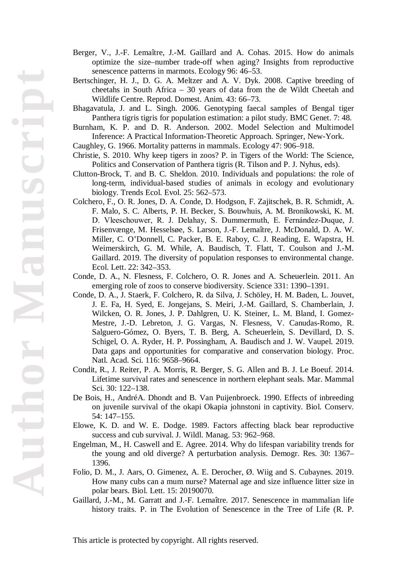- Berger, V., J.-F. Lemaître, J.-M. Gaillard and A. Cohas. 2015. How do animals optimize the size–number trade-off when aging? Insights from reproductive senescence patterns in marmots. Ecology 96: 46–53.
- Bertschinger, H. J., D. G. A. Meltzer and A. V. Dyk. 2008. Captive breeding of cheetahs in South Africa – 30 years of data from the de Wildt Cheetah and Wildlife Centre. Reprod. Domest. Anim. 43: 66–73.
- Bhagavatula, J. and L. Singh. 2006. Genotyping faecal samples of Bengal tiger Panthera tigris tigris for population estimation: a pilot study. BMC Genet. 7: 48.
- Burnham, K. P. and D. R. Anderson. 2002. Model Selection and Multimodel Inference: A Practical Information-Theoretic Approach. Springer, New-York.
- Caughley, G. 1966. Mortality patterns in mammals. Ecology 47: 906–918.
- Christie, S. 2010. Why keep tigers in zoos? P. in Tigers of the World: The Science, Politics and Conservation of Panthera tigris (R. Tilson and P. J. Nyhus, eds).
- Clutton-Brock, T. and B. C. Sheldon. 2010. Individuals and populations: the role of long-term, individual-based studies of animals in ecology and evolutionary biology. Trends Ecol. Evol. 25: 562–573.
- Colchero, F., O. R. Jones, D. A. Conde, D. Hodgson, F. Zajitschek, B. R. Schmidt, A. F. Malo, S. C. Alberts, P. H. Becker, S. Bouwhuis, A. M. Bronikowski, K. M. D. Vleeschouwer, R. J. Delahay, S. Dummermuth, E. Fernández‐Duque, J. Frisenvænge, M. Hesselsøe, S. Larson, J.-F. Lemaître, J. McDonald, D. A. W. Miller, C. O'Donnell, C. Packer, B. E. Raboy, C. J. Reading, E. Wapstra, H. Weimerskirch, G. M. While, A. Baudisch, T. Flatt, T. Coulson and J.-M. Gaillard. 2019. The diversity of population responses to environmental change. Ecol. Lett. 22: 342–353.
- Conde, D. A., N. Flesness, F. Colchero, O. R. Jones and A. Scheuerlein. 2011. An emerging role of zoos to conserve biodiversity. Science 331: 1390–1391.
- Conde, D. A., J. Staerk, F. Colchero, R. da Silva, J. Schöley, H. M. Baden, L. Jouvet, J. E. Fa, H. Syed, E. Jongejans, S. Meiri, J.-M. Gaillard, S. Chamberlain, J. Wilcken, O. R. Jones, J. P. Dahlgren, U. K. Steiner, L. M. Bland, I. Gomez-Mestre, J.-D. Lebreton, J. G. Vargas, N. Flesness, V. Canudas-Romo, R. Salguero-Gómez, O. Byers, T. B. Berg, A. Scheuerlein, S. Devillard, D. S. Schigel, O. A. Ryder, H. P. Possingham, A. Baudisch and J. W. Vaupel. 2019. Data gaps and opportunities for comparative and conservation biology. Proc. Natl. Acad. Sci. 116: 9658–9664.
- Condit, R., J. Reiter, P. A. Morris, R. Berger, S. G. Allen and B. J. Le Boeuf. 2014. Lifetime survival rates and senescence in northern elephant seals. Mar. Mammal Sci. 30: 122–138.
- De Bois, H., AndréA. Dhondt and B. Van Puijenbroeck. 1990. Effects of inbreeding on juvenile survival of the okapi Okapia johnstoni in captivity. Biol. Conserv. 54: 147–155.
- Elowe, K. D. and W. E. Dodge. 1989. Factors affecting black bear reproductive success and cub survival. J. Wildl. Manag. 53: 962–968.
- Engelman, M., H. Caswell and E. Agree. 2014. Why do lifespan variability trends for the young and old diverge? A perturbation analysis. Demogr. Res. 30: 1367– 1396.
- Folio, D. M., J. Aars, O. Gimenez, A. E. Derocher, Ø. Wiig and S. Cubaynes. 2019. How many cubs can a mum nurse? Maternal age and size influence litter size in polar bears. Biol. Lett. 15: 20190070.
- Gaillard, J.-M., M. Garratt and J.-F. Lemaître. 2017. Senescence in mammalian life history traits. P. in The Evolution of Senescence in the Tree of Life (R. P.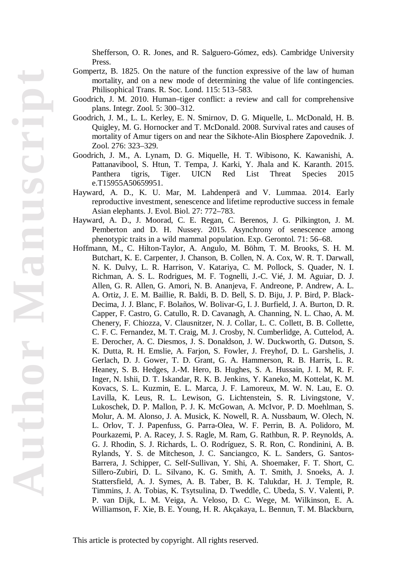Shefferson, O. R. Jones, and R. Salguero-Gómez, eds). Cambridge University Press.

- Gompertz, B. 1825. On the nature of the function expressive of the law of human mortality, and on a new mode of determining the value of life contingencies. Philisophical Trans. R. Soc. Lond. 115: 513–583.
- Goodrich, J. M. 2010. Human–tiger conflict: a review and call for comprehensive plans. Integr. Zool. 5: 300–312.
- Goodrich, J. M., L. L. Kerley, E. N. Smirnov, D. G. Miquelle, L. McDonald, H. B. Quigley, M. G. Hornocker and T. McDonald. 2008. Survival rates and causes of mortality of Amur tigers on and near the Sikhote-Alin Biosphere Zapovednik. J. Zool. 276: 323–329.
- Goodrich, J. M., A. Lynam, D. G. Miquelle, H. T. Wibisono, K. Kawanishi, A. Pattanavibool, S. Htun, T. Tempa, J. Karki, Y. Jhala and K. Karanth. 2015. Panthera tigris, Tiger. UICN Red List Threat Species 2015 e.T15955A50659951.
- Hayward, A. D., K. U. Mar, M. Lahdenperä and V. Lummaa. 2014. Early reproductive investment, senescence and lifetime reproductive success in female Asian elephants. J. Evol. Biol. 27: 772–783.
- Hayward, A. D., J. Moorad, C. E. Regan, C. Berenos, J. G. Pilkington, J. M. Pemberton and D. H. Nussey. 2015. Asynchrony of senescence among phenotypic traits in a wild mammal population. Exp. Gerontol. 71: 56–68.
- Hoffmann, M., C. Hilton-Taylor, A. Angulo, M. Böhm, T. M. Brooks, S. H. M. Butchart, K. E. Carpenter, J. Chanson, B. Collen, N. A. Cox, W. R. T. Darwall, N. K. Dulvy, L. R. Harrison, V. Katariya, C. M. Pollock, S. Quader, N. I. Richman, A. S. L. Rodrigues, M. F. Tognelli, J.-C. Vié, J. M. Aguiar, D. J. Allen, G. R. Allen, G. Amori, N. B. Ananjeva, F. Andreone, P. Andrew, A. L. A. Ortiz, J. E. M. Baillie, R. Baldi, B. D. Bell, S. D. Biju, J. P. Bird, P. Black-Decima, J. J. Blanc, F. Bolaños, W. Bolivar-G, I. J. Burfield, J. A. Burton, D. R. Capper, F. Castro, G. Catullo, R. D. Cavanagh, A. Channing, N. L. Chao, A. M. Chenery, F. Chiozza, V. Clausnitzer, N. J. Collar, L. C. Collett, B. B. Collette, C. F. C. Fernandez, M. T. Craig, M. J. Crosby, N. Cumberlidge, A. Cuttelod, A. E. Derocher, A. C. Diesmos, J. S. Donaldson, J. W. Duckworth, G. Dutson, S. K. Dutta, R. H. Emslie, A. Farjon, S. Fowler, J. Freyhof, D. L. Garshelis, J. Gerlach, D. J. Gower, T. D. Grant, G. A. Hammerson, R. B. Harris, L. R. Heaney, S. B. Hedges, J.-M. Hero, B. Hughes, S. A. Hussain, J. I. M, R. F. Inger, N. Ishii, D. T. Iskandar, R. K. B. Jenkins, Y. Kaneko, M. Kottelat, K. M. Kovacs, S. L. Kuzmin, E. L. Marca, J. F. Lamoreux, M. W. N. Lau, E. O. Lavilla, K. Leus, R. L. Lewison, G. Lichtenstein, S. R. Livingstone, V. Lukoschek, D. P. Mallon, P. J. K. McGowan, A. McIvor, P. D. Moehlman, S. Molur, A. M. Alonso, J. A. Musick, K. Nowell, R. A. Nussbaum, W. Olech, N. L. Orlov, T. J. Papenfuss, G. Parra-Olea, W. F. Perrin, B. A. Polidoro, M. Pourkazemi, P. A. Racey, J. S. Ragle, M. Ram, G. Rathbun, R. P. Reynolds, A. G. J. Rhodin, S. J. Richards, L. O. Rodríguez, S. R. Ron, C. Rondinini, A. B. Rylands, Y. S. de Mitcheson, J. C. Sanciangco, K. L. Sanders, G. Santos-Barrera, J. Schipper, C. Self-Sullivan, Y. Shi, A. Shoemaker, F. T. Short, C. Sillero-Zubiri, D. L. Silvano, K. G. Smith, A. T. Smith, J. Snoeks, A. J. Stattersfield, A. J. Symes, A. B. Taber, B. K. Talukdar, H. J. Temple, R. Timmins, J. A. Tobias, K. Tsytsulina, D. Tweddle, C. Ubeda, S. V. Valenti, P. P. van Dijk, L. M. Veiga, A. Veloso, D. C. Wege, M. Wilkinson, E. A. Williamson, F. Xie, B. E. Young, H. R. Akçakaya, L. Bennun, T. M. Blackburn,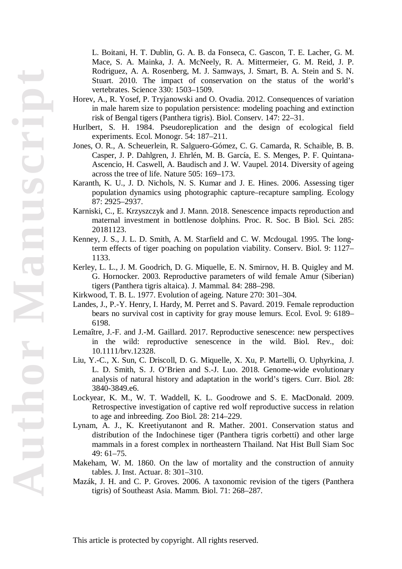L. Boitani, H. T. Dublin, G. A. B. da Fonseca, C. Gascon, T. E. Lacher, G. M. Mace, S. A. Mainka, J. A. McNeely, R. A. Mittermeier, G. M. Reid, J. P. Rodriguez, A. A. Rosenberg, M. J. Samways, J. Smart, B. A. Stein and S. N. Stuart. 2010. The impact of conservation on the status of the world's vertebrates. Science 330: 1503–1509.

- Horev, A., R. Yosef, P. Tryjanowski and O. Ovadia. 2012. Consequences of variation in male harem size to population persistence: modeling poaching and extinction risk of Bengal tigers (Panthera tigris). Biol. Conserv. 147: 22–31.
- Hurlbert, S. H. 1984. Pseudoreplication and the design of ecological field experiments. Ecol. Monogr. 54: 187–211.
- Jones, O. R., A. Scheuerlein, R. Salguero-Gómez, C. G. Camarda, R. Schaible, B. B. Casper, J. P. Dahlgren, J. Ehrlén, M. B. García, E. S. Menges, P. F. Quintana-Ascencio, H. Caswell, A. Baudisch and J. W. Vaupel. 2014. Diversity of ageing across the tree of life. Nature 505: 169–173.
- Karanth, K. U., J. D. Nichols, N. S. Kumar and J. E. Hines. 2006. Assessing tiger population dynamics using photographic capture–recapture sampling. Ecology 87: 2925–2937.
- Karniski, C., E. Krzyszczyk and J. Mann. 2018. Senescence impacts reproduction and maternal investment in bottlenose dolphins. Proc. R. Soc. B Biol. Sci. 285: 20181123.
- Kenney, J. S., J. L. D. Smith, A. M. Starfield and C. W. Mcdougal. 1995. The longterm effects of tiger poaching on population viability. Conserv. Biol. 9: 1127– 1133.
- Kerley, L. L., J. M. Goodrich, D. G. Miquelle, E. N. Smirnov, H. B. Quigley and M. G. Hornocker. 2003. Reproductive parameters of wild female Amur (Siberian) tigers (Panthera tigris altaica). J. Mammal. 84: 288–298.
- Kirkwood, T. B. L. 1977. Evolution of ageing. Nature 270: 301–304.
- Landes, J., P.-Y. Henry, I. Hardy, M. Perret and S. Pavard. 2019. Female reproduction bears no survival cost in captivity for gray mouse lemurs. Ecol. Evol. 9: 6189– 6198.
- Lemaître, J.-F. and J.-M. Gaillard. 2017. Reproductive senescence: new perspectives in the wild: reproductive senescence in the wild. Biol. Rev., doi: 10.1111/brv.12328.
- Liu, Y.-C., X. Sun, C. Driscoll, D. G. Miquelle, X. Xu, P. Martelli, O. Uphyrkina, J. L. D. Smith, S. J. O'Brien and S.-J. Luo. 2018. Genome-wide evolutionary analysis of natural history and adaptation in the world's tigers. Curr. Biol. 28: 3840-3849.e6.
- Lockyear, K. M., W. T. Waddell, K. L. Goodrowe and S. E. MacDonald. 2009. Retrospective investigation of captive red wolf reproductive success in relation to age and inbreeding. Zoo Biol. 28: 214–229.
- Lynam, A. J., K. Kreetiyutanont and R. Mather. 2001. Conservation status and distribution of the Indochinese tiger (Panthera tigris corbetti) and other large mammals in a forest complex in northeastern Thailand. Nat Hist Bull Siam Soc 49: 61–75.
- Makeham, W. M. 1860. On the law of mortality and the construction of annuity tables. J. Inst. Actuar. 8: 301–310.
- Mazák, J. H. and C. P. Groves. 2006. A taxonomic revision of the tigers (Panthera tigris) of Southeast Asia. Mamm. Biol. 71: 268–287.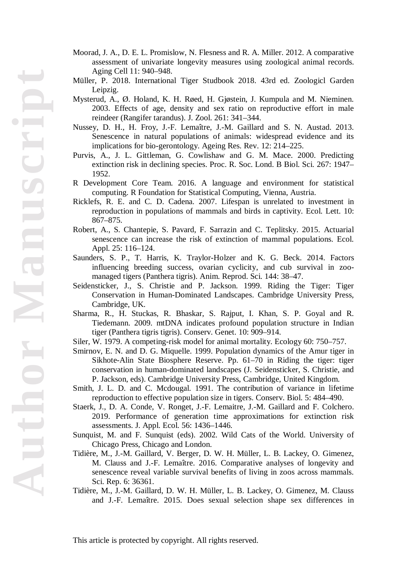- Moorad, J. A., D. E. L. Promislow, N. Flesness and R. A. Miller. 2012. A comparative assessment of univariate longevity measures using zoological animal records. Aging Cell 11: 940–948.
- Müller, P. 2018. International Tiger Studbook 2018. 43rd ed. Zoologicl Garden Leipzig.
- Mysterud, A., Ø. Holand, K. H. Røed, H. Gjøstein, J. Kumpula and M. Nieminen. 2003. Effects of age, density and sex ratio on reproductive effort in male reindeer (Rangifer tarandus). J. Zool. 261: 341–344.
- Nussey, D. H., H. Froy, J.-F. Lemaître, J.-M. Gaillard and S. N. Austad. 2013. Senescence in natural populations of animals: widespread evidence and its implications for bio-gerontology. Ageing Res. Rev. 12: 214–225.
- Purvis, A., J. L. Gittleman, G. Cowlishaw and G. M. Mace. 2000. Predicting extinction risk in declining species. Proc. R. Soc. Lond. B Biol. Sci. 267: 1947– 1952.
- R Development Core Team. 2016. A language and environment for statistical computing. R Foundation for Statistical Computing, Vienna, Austria.
- Ricklefs, R. E. and C. D. Cadena. 2007. Lifespan is unrelated to investment in reproduction in populations of mammals and birds in captivity. Ecol. Lett. 10: 867–875.
- Robert, A., S. Chantepie, S. Pavard, F. Sarrazin and C. Teplitsky. 2015. Actuarial senescence can increase the risk of extinction of mammal populations. Ecol. Appl. 25: 116–124.
- Saunders, S. P., T. Harris, K. Traylor-Holzer and K. G. Beck. 2014. Factors influencing breeding success, ovarian cyclicity, and cub survival in zoomanaged tigers (Panthera tigris). Anim. Reprod. Sci. 144: 38–47.
- Seidensticker, J., S. Christie and P. Jackson. 1999. Riding the Tiger: Tiger Conservation in Human-Dominated Landscapes. Cambridge University Press, Cambridge, UK.
- Sharma, R., H. Stuckas, R. Bhaskar, S. Rajput, I. Khan, S. P. Goyal and R. Tiedemann. 2009. mtDNA indicates profound population structure in Indian tiger (Panthera tigris tigris). Conserv. Genet. 10: 909–914.
- Siler, W. 1979. A competing-risk model for animal mortality. Ecology 60: 750–757.
- Smirnov, E. N. and D. G. Miquelle. 1999. Population dynamics of the Amur tiger in Sikhote-Alin State Biosphere Reserve. Pp. 61–70 in Riding the tiger: tiger conservation in human-dominated landscapes (J. Seidensticker, S. Christie, and P. Jackson, eds). Cambridge University Press, Cambridge, United Kingdom.
- Smith, J. L. D. and C. Mcdougal. 1991. The contribution of variance in lifetime reproduction to effective population size in tigers. Conserv. Biol. 5: 484–490.
- Staerk, J., D. A. Conde, V. Ronget, J.-F. Lemaitre, J.-M. Gaillard and F. Colchero. 2019. Performance of generation time approximations for extinction risk assessments. J. Appl. Ecol. 56: 1436–1446.
- Sunquist, M. and F. Sunquist (eds). 2002. Wild Cats of the World. University of Chicago Press, Chicago and London.
- Tidière, M., J.-M. Gaillard, V. Berger, D. W. H. Müller, L. B. Lackey, O. Gimenez, M. Clauss and J.-F. Lemaître. 2016. Comparative analyses of longevity and senescence reveal variable survival benefits of living in zoos across mammals. Sci. Rep. 6: 36361.
- Tidière, M., J.-M. Gaillard, D. W. H. Müller, L. B. Lackey, O. Gimenez, M. Clauss and J.-F. Lemaître. 2015. Does sexual selection shape sex differences in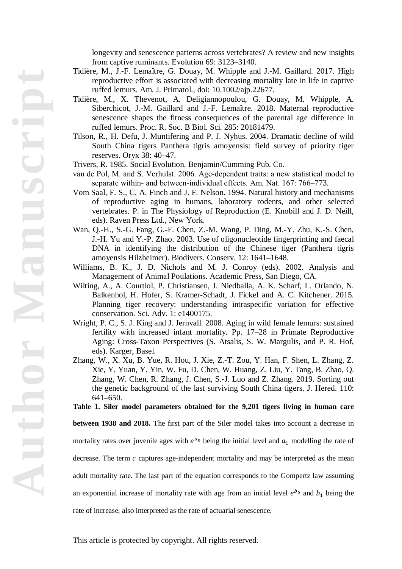longevity and senescence patterns across vertebrates? A review and new insights from captive ruminants. Evolution 69: 3123–3140.

- Tidière, M., J.-F. Lemaître, G. Douay, M. Whipple and J.-M. Gaillard. 2017. High reproductive effort is associated with decreasing mortality late in life in captive ruffed lemurs. Am. J. Primatol., doi: 10.1002/ajp.22677.
- Tidière, M., X. Thevenot, A. Deligiannopoulou, G. Douay, M. Whipple, A. Siberchicot, J.-M. Gaillard and J.-F. Lemaître. 2018. Maternal reproductive senescence shapes the fitness consequences of the parental age difference in ruffed lemurs. Proc. R. Soc. B Biol. Sci. 285: 20181479.
- Tilson, R., H. Defu, J. Muntifering and P. J. Nyhus. 2004. Dramatic decline of wild South China tigers Panthera tigris amoyensis: field survey of priority tiger reserves. Oryx 38: 40–47.
- Trivers, R. 1985. Social Evolution. Benjamin/Cumming Pub. Co.
- van de Pol, M. and S. Verhulst. 2006. Age‐dependent traits: a new statistical model to separate within- and between-individual effects. Am. Nat. 167: 766–773.
- Vom Saal, F. S., C. A. Finch and J. F. Nelson. 1994. Natural history and mechanisms of reproductive aging in humans, laboratory rodents, and other selected vertebrates. P. in The Physiology of Reproduction (E. Knobill and J. D. Neill, eds). Raven Press Ltd., New York.
- Wan, Q.-H., S.-G. Fang, G.-F. Chen, Z.-M. Wang, P. Ding, M.-Y. Zhu, K.-S. Chen, J.-H. Yu and Y.-P. Zhao. 2003. Use of oligonucleotide fingerprinting and faecal DNA in identifying the distribution of the Chinese tiger (Panthera tigris amoyensis Hilzheimer). Biodivers. Conserv. 12: 1641–1648.
- Williams, B. K., J. D. Nichols and M. J. Conroy (eds). 2002. Analysis and Management of Animal Poulations. Academic Press, San Diego, CA.
- Wilting, A., A. Courtiol, P. Christiansen, J. Niedballa, A. K. Scharf, L. Orlando, N. Balkenhol, H. Hofer, S. Kramer-Schadt, J. Fickel and A. C. Kitchener. 2015. Planning tiger recovery: understanding intraspecific variation for effective conservation. Sci. Adv. 1: e1400175.
- Wright, P. C., S. J. King and J. Jernvall. 2008. Aging in wild female lemurs: sustained fertility with increased infant mortality. Pp. 17–28 in Primate Reproductive Aging: Cross-Taxon Perspectives (S. Atsalis, S. W. Margulis, and P. R. Hof, eds). Karger, Basel.
- Zhang, W., X. Xu, B. Yue, R. Hou, J. Xie, Z.-T. Zou, Y. Han, F. Shen, L. Zhang, Z. Xie, Y. Yuan, Y. Yin, W. Fu, D. Chen, W. Huang, Z. Liu, Y. Tang, B. Zhao, Q. Zhang, W. Chen, R. Zhang, J. Chen, S.-J. Luo and Z. Zhang. 2019. Sorting out the genetic background of the last surviving South China tigers. J. Hered. 110: 641–650.

**Table 1. Siler model parameters obtained for the 9,201 tigers living in human care** 

**between 1938 and 2018.** The first part of the Siler model takes into account a decrease in

mortality rates over juvenile ages with  $e^{a_0}$  being the initial level and  $a_1$  modelling the rate of

decrease. The term  $c$  captures age-independent mortality and may be interpreted as the mean

adult mortality rate. The last part of the equation corresponds to the Gompertz law assuming

an exponential increase of mortality rate with age from an initial level  $e^{b_0}$  and  $b_1$  being the

rate of increase, also interpreted as the rate of actuarial senescence.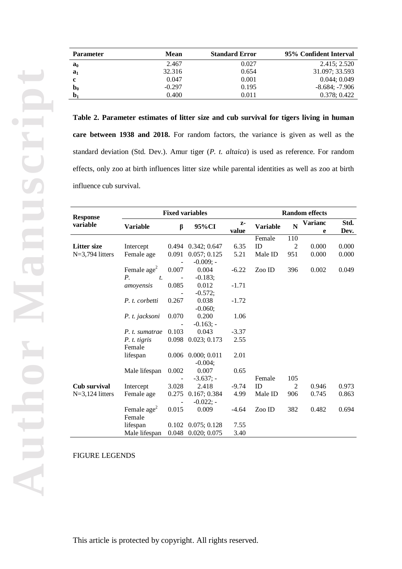| <b>Parameter</b> | Mean     | <b>Standard Error</b> | 95% Confident Interval |
|------------------|----------|-----------------------|------------------------|
| $a_0$            | 2.467    | 0.027                 | 2.415: 2.520           |
| a <sub>1</sub>   | 32.316   | 0.654                 | 31.097; 33.593         |
| c                | 0.047    | 0.001                 | 0.044:0.049            |
| $\mathbf{b}_0$   | $-0.297$ | 0.195                 | $-8.684; -7.906$       |
|                  | 0.400    | 0.011                 | 0.378:0.422            |

**Table 2. Parameter estimates of litter size and cub survival for tigers living in human care between 1938 and 2018.** For random factors, the variance is given as well as the standard deviation (Std. Dev.). Amur tiger (*P. t. altaica*) is used as reference. For random effects, only zoo at birth influences litter size while parental identities as well as zoo at birth influence cub survival.

| <b>Response</b>    | <b>Fixed variables</b>                 |       |                                   |               | <b>Random effects</b> |                         |                     |              |
|--------------------|----------------------------------------|-------|-----------------------------------|---------------|-----------------------|-------------------------|---------------------|--------------|
| variable           | <b>Variable</b>                        | β     | 95%CI                             | $Z-$<br>value | <b>Variable</b>       | $\overline{\mathbf{N}}$ | <b>Varianc</b><br>e | Std.<br>Dev. |
|                    |                                        |       |                                   |               | Female                | 110                     |                     |              |
| <b>Litter size</b> | Intercept                              | 0.494 | 0.342; 0.647                      | 6.35          | ID                    | $\overline{2}$          | 0.000               | 0.000        |
| $N=3,794$ litters  | Female age                             | 0.091 | 0.057; 0.125<br>$-0.009; -$       | 5.21          | Male ID               | 951                     | 0.000               | 0.000        |
|                    | Female age <sup>2</sup><br>Р.<br>$t$ . | 0.007 | 0.004<br>$-0.183;$                | $-6.22$       | Zoo ID                | 396                     | 0.002               | 0.049        |
|                    | amoyensis                              | 0.085 | 0.012<br>$-0.572;$                | $-1.71$       |                       |                         |                     |              |
|                    | P. t. corbetti                         | 0.267 | 0.038<br>$-0.060;$                | $-1.72$       |                       |                         |                     |              |
|                    | P. t. jacksoni                         | 0.070 | 0.200<br>$-0.163: -$              | 1.06          |                       |                         |                     |              |
|                    | P. t. sumatrae                         | 0.103 | 0.043                             | $-3.37$       |                       |                         |                     |              |
|                    | P. t. tigris<br>Female                 | 0.098 | 0.023; 0.173                      | 2.55          |                       |                         |                     |              |
|                    | lifespan                               |       | $0.006$ 0.000; 0.011<br>$-0.004;$ | 2.01          |                       |                         |                     |              |
|                    | Male lifespan                          | 0.002 | 0.007<br>$-3.637; -$              | 0.65          | Female                | 105                     |                     |              |
| Cub survival       | Intercept                              | 3.028 | 2.418                             | $-9.74$       | ID                    | $\overline{2}$          | 0.946               | 0.973        |
| $N=3,124$ litters  | Female age                             | 0.275 | 0.167; 0.384<br>$-0.022; -$       | 4.99          | Male ID               | 906                     | 0.745               | 0.863        |
|                    | Female age <sup>2</sup><br>Female      | 0.015 | 0.009                             | $-4.64$       | Zoo ID                | 382                     | 0.482               | 0.694        |
|                    | lifespan                               |       | $0.102$ $0.075$ ; $0.128$         | 7.55          |                       |                         |                     |              |
|                    | Male lifespan                          |       | $0.048$ $0.020; 0.075$            | 3.40          |                       |                         |                     |              |

FIGURE LEGENDS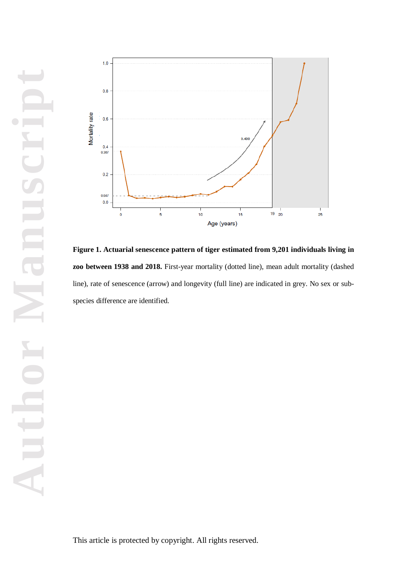

**zoo between 1938 and 2018.** First-year mortality (dotted line), mean adult mortality (dashed line), rate of senescence (arrow) and longevity (full line) are indicated in grey. No sex or subspecies difference are identified.